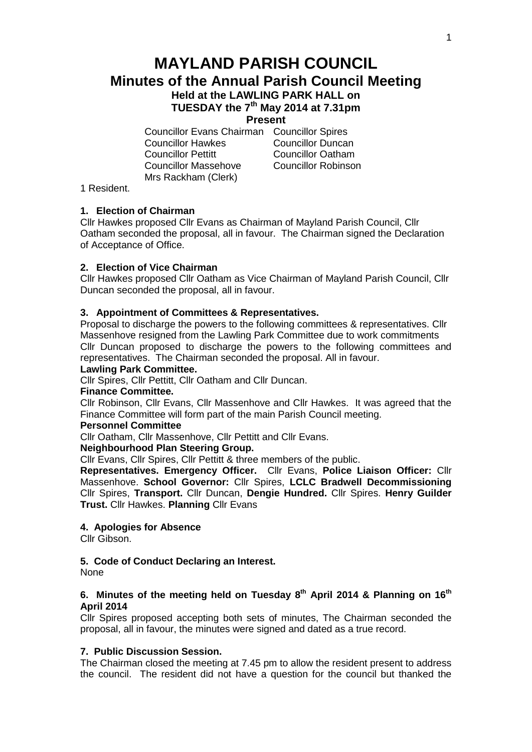# **MAYLAND PARISH COUNCIL Minutes of the Annual Parish Council Meeting Held at the LAWLING PARK HALL on**

**TUESDAY the 7th May 2014 at 7.31pm**

# **Present**

Councillor Evans Chairman Councillor Spires Councillor Hawkes Councillor Duncan Councillor Pettitt Councillor Oatham Councillor Massehove Councillor Robinson Mrs Rackham (Clerk)

1 Resident.

# **1. Election of Chairman**

Cllr Hawkes proposed Cllr Evans as Chairman of Mayland Parish Council, Cllr Oatham seconded the proposal, all in favour. The Chairman signed the Declaration of Acceptance of Office.

### **2. Election of Vice Chairman**

Cllr Hawkes proposed Cllr Oatham as Vice Chairman of Mayland Parish Council, Cllr Duncan seconded the proposal, all in favour.

### **3. Appointment of Committees & Representatives.**

Proposal to discharge the powers to the following committees & representatives. Cllr Massenhove resigned from the Lawling Park Committee due to work commitments Cllr Duncan proposed to discharge the powers to the following committees and representatives. The Chairman seconded the proposal. All in favour.

## **Lawling Park Committee.**

Cllr Spires, Cllr Pettitt, Cllr Oatham and Cllr Duncan.

### **Finance Committee.**

Cllr Robinson, Cllr Evans, Cllr Massenhove and Cllr Hawkes. It was agreed that the Finance Committee will form part of the main Parish Council meeting.

### **Personnel Committee**

Cllr Oatham, Cllr Massenhove, Cllr Pettitt and Cllr Evans.

### **Neighbourhood Plan Steering Group.**

Cllr Evans, Cllr Spires, Cllr Pettitt & three members of the public.

**Representatives. Emergency Officer.** Cllr Evans, **Police Liaison Officer:** Cllr Massenhove. **School Governor:** Cllr Spires, **LCLC Bradwell Decommissioning**  Cllr Spires, **Transport.** Cllr Duncan, **Dengie Hundred.** Cllr Spires. **Henry Guilder Trust.** Cllr Hawkes. **Planning** Cllr Evans

## **4. Apologies for Absence**

Cllr Gibson.

# **5. Code of Conduct Declaring an Interest.**

None

# **6. Minutes of the meeting held on Tuesday 8 th April 2014 & Planning on 16th April 2014**

Cllr Spires proposed accepting both sets of minutes, The Chairman seconded the proposal, all in favour, the minutes were signed and dated as a true record.

### **7. Public Discussion Session.**

The Chairman closed the meeting at 7.45 pm to allow the resident present to address the council. The resident did not have a question for the council but thanked the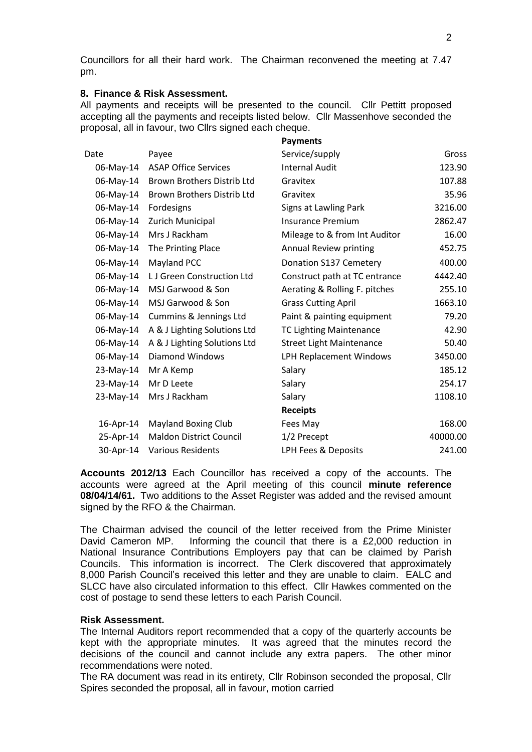Councillors for all their hard work. The Chairman reconvened the meeting at 7.47 pm.

# **8. Finance & Risk Assessment.**

All payments and receipts will be presented to the council. Cllr Pettitt proposed accepting all the payments and receipts listed below. Cllr Massenhove seconded the proposal, all in favour, two Cllrs signed each cheque.

|           |                                | <b>Payments</b>                 |          |
|-----------|--------------------------------|---------------------------------|----------|
| Date      | Payee                          | Service/supply                  | Gross    |
| 06-May-14 | <b>ASAP Office Services</b>    | <b>Internal Audit</b>           | 123.90   |
| 06-May-14 | Brown Brothers Distrib Ltd     | Gravitex                        | 107.88   |
| 06-May-14 | Brown Brothers Distrib Ltd     | Gravitex                        | 35.96    |
| 06-May-14 | Fordesigns                     | Signs at Lawling Park           | 3216.00  |
| 06-May-14 | Zurich Municipal               | <b>Insurance Premium</b>        | 2862.47  |
| 06-May-14 | Mrs J Rackham                  | Mileage to & from Int Auditor   | 16.00    |
| 06-May-14 | The Printing Place             | Annual Review printing          | 452.75   |
| 06-May-14 | Mayland PCC                    | Donation S137 Cemetery          | 400.00   |
| 06-May-14 | LJ Green Construction Ltd      | Construct path at TC entrance   | 4442.40  |
| 06-May-14 | MSJ Garwood & Son              | Aerating & Rolling F. pitches   | 255.10   |
| 06-May-14 | MSJ Garwood & Son              | <b>Grass Cutting April</b>      | 1663.10  |
| 06-May-14 | Cummins & Jennings Ltd         | Paint & painting equipment      | 79.20    |
| 06-May-14 | A & J Lighting Solutions Ltd   | <b>TC Lighting Maintenance</b>  | 42.90    |
| 06-May-14 | A & J Lighting Solutions Ltd   | <b>Street Light Maintenance</b> | 50.40    |
| 06-May-14 | Diamond Windows                | LPH Replacement Windows         | 3450.00  |
| 23-May-14 | Mr A Kemp                      | Salary                          | 185.12   |
| 23-May-14 | Mr D Leete                     | Salary                          | 254.17   |
| 23-May-14 | Mrs J Rackham                  | Salary                          | 1108.10  |
|           |                                | <b>Receipts</b>                 |          |
| 16-Apr-14 | <b>Mayland Boxing Club</b>     | Fees May                        | 168.00   |
| 25-Apr-14 | <b>Maldon District Council</b> | 1/2 Precept                     | 40000.00 |
| 30-Apr-14 | <b>Various Residents</b>       | LPH Fees & Deposits             | 241.00   |

**Accounts 2012/13** Each Councillor has received a copy of the accounts. The accounts were agreed at the April meeting of this council **minute reference 08/04/14/61.** Two additions to the Asset Register was added and the revised amount signed by the RFO & the Chairman.

The Chairman advised the council of the letter received from the Prime Minister David Cameron MP. Informing the council that there is a £2,000 reduction in National Insurance Contributions Employers pay that can be claimed by Parish Councils. This information is incorrect. The Clerk discovered that approximately 8,000 Parish Council's received this letter and they are unable to claim. EALC and SLCC have also circulated information to this effect. Cllr Hawkes commented on the cost of postage to send these letters to each Parish Council.

### **Risk Assessment.**

The Internal Auditors report recommended that a copy of the quarterly accounts be kept with the appropriate minutes. It was agreed that the minutes record the decisions of the council and cannot include any extra papers. The other minor recommendations were noted.

The RA document was read in its entirety, Cllr Robinson seconded the proposal, Cllr Spires seconded the proposal, all in favour, motion carried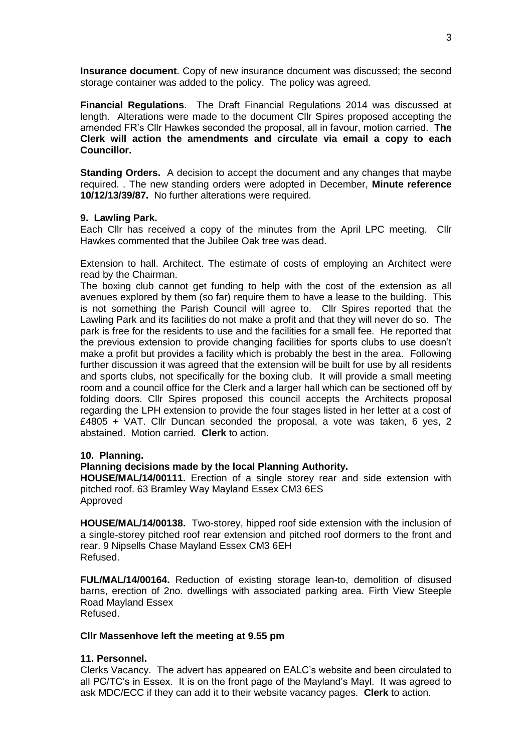**Insurance document**. Copy of new insurance document was discussed; the second storage container was added to the policy. The policy was agreed.

**Financial Regulations**. The Draft Financial Regulations 2014 was discussed at length. Alterations were made to the document Cllr Spires proposed accepting the amended FR's Cllr Hawkes seconded the proposal, all in favour, motion carried. **The Clerk will action the amendments and circulate via email a copy to each Councillor.**

**Standing Orders.** A decision to accept the document and any changes that maybe required. . The new standing orders were adopted in December, **Minute reference 10/12/13/39/87.** No further alterations were required.

### **9. Lawling Park.**

Each Cllr has received a copy of the minutes from the April LPC meeting. Cllr Hawkes commented that the Jubilee Oak tree was dead.

Extension to hall. Architect. The estimate of costs of employing an Architect were read by the Chairman.

The boxing club cannot get funding to help with the cost of the extension as all avenues explored by them (so far) require them to have a lease to the building. This is not something the Parish Council will agree to. Cllr Spires reported that the Lawling Park and its facilities do not make a profit and that they will never do so. The park is free for the residents to use and the facilities for a small fee. He reported that the previous extension to provide changing facilities for sports clubs to use doesn't make a profit but provides a facility which is probably the best in the area. Following further discussion it was agreed that the extension will be built for use by all residents and sports clubs, not specifically for the boxing club. It will provide a small meeting room and a council office for the Clerk and a larger hall which can be sectioned off by folding doors. Cllr Spires proposed this council accepts the Architects proposal regarding the LPH extension to provide the four stages listed in her letter at a cost of  $£4805 + \sqrt{AT}$ . Cllr Duncan seconded the proposal, a vote was taken, 6 yes, 2 abstained. Motion carried. **Clerk** to action.

### **10. Planning.**

## **Planning decisions made by the local Planning Authority.**

**HOUSE/MAL/14/00111.** Erection of a single storey rear and side extension with pitched roof. 63 Bramley Way Mayland Essex CM3 6ES Approved

**HOUSE/MAL/14/00138.** Two-storey, hipped roof side extension with the inclusion of a single-storey pitched roof rear extension and pitched roof dormers to the front and rear. 9 Nipsells Chase Mayland Essex CM3 6EH Refused.

**FUL/MAL/14/00164.** Reduction of existing storage lean-to, demolition of disused barns, erection of 2no. dwellings with associated parking area. Firth View Steeple Road Mayland Essex Refused.

#### **Cllr Massenhove left the meeting at 9.55 pm**

### **11. Personnel.**

Clerks Vacancy. The advert has appeared on EALC's website and been circulated to all PC/TC's in Essex. It is on the front page of the Mayland's Mayl. It was agreed to ask MDC/ECC if they can add it to their website vacancy pages. **Clerk** to action.